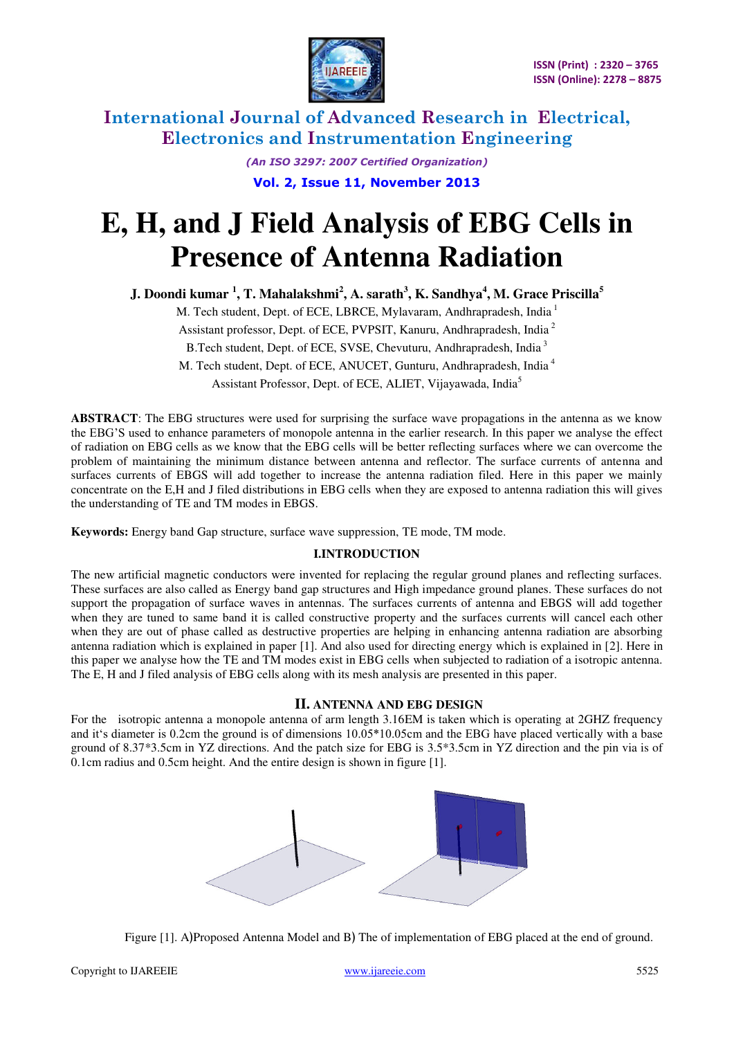

> *(An ISO 3297: 2007 Certified Organization)*  **Vol. 2, Issue 11, November 2013**

# **E, H, and J Field Analysis of EBG Cells in Presence of Antenna Radiation**

**J. Doondi kumar <sup>1</sup> , T. Mahalakshmi<sup>2</sup> , A. sarath<sup>3</sup> , K. Sandhya<sup>4</sup> , M. Grace Priscilla<sup>5</sup>**

M. Tech student, Dept. of ECE, LBRCE, Mylavaram, Andhrapradesh, India<sup>1</sup>

Assistant professor, Dept. of ECE, PVPSIT, Kanuru, Andhrapradesh, India<sup>2</sup>

B.Tech student, Dept. of ECE, SVSE, Chevuturu, Andhrapradesh, India<sup>3</sup>

M. Tech student, Dept. of ECE, ANUCET, Gunturu, Andhrapradesh, India<sup>4</sup> Assistant Professor, Dept. of ECE, ALIET, Vijayawada, India<sup>5</sup>

**ABSTRACT**: The EBG structures were used for surprising the surface wave propagations in the antenna as we know the EBG'S used to enhance parameters of monopole antenna in the earlier research. In this paper we analyse the effect of radiation on EBG cells as we know that the EBG cells will be better reflecting surfaces where we can overcome the problem of maintaining the minimum distance between antenna and reflector. The surface currents of antenna and surfaces currents of EBGS will add together to increase the antenna radiation filed. Here in this paper we mainly concentrate on the E,H and J filed distributions in EBG cells when they are exposed to antenna radiation this will gives the understanding of TE and TM modes in EBGS.

**Keywords:** Energy band Gap structure, surface wave suppression, TE mode, TM mode.

## **I.INTRODUCTION**

The new artificial magnetic conductors were invented for replacing the regular ground planes and reflecting surfaces. These surfaces are also called as Energy band gap structures and High impedance ground planes. These surfaces do not support the propagation of surface waves in antennas. The surfaces currents of antenna and EBGS will add together when they are tuned to same band it is called constructive property and the surfaces currents will cancel each other when they are out of phase called as destructive properties are helping in enhancing antenna radiation are absorbing antenna radiation which is explained in paper [1]. And also used for directing energy which is explained in [2]. Here in this paper we analyse how the TE and TM modes exist in EBG cells when subjected to radiation of a isotropic antenna. The E, H and J filed analysis of EBG cells along with its mesh analysis are presented in this paper.

## **II. ANTENNA AND EBG DESIGN**

For the isotropic antenna a monopole antenna of arm length 3.16EM is taken which is operating at 2GHZ frequency and it's diameter is 0.2cm the ground is of dimensions  $10.05*10.05cm$  and the EBG have placed vertically with a base ground of 8.37\*3.5cm in YZ directions. And the patch size for EBG is 3.5\*3.5cm in YZ direction and the pin via is of 0.1cm radius and 0.5cm height. And the entire design is shown in figure [1].



Figure [1]. A)Proposed Antenna Model and B) The of implementation of EBG placed at the end of ground.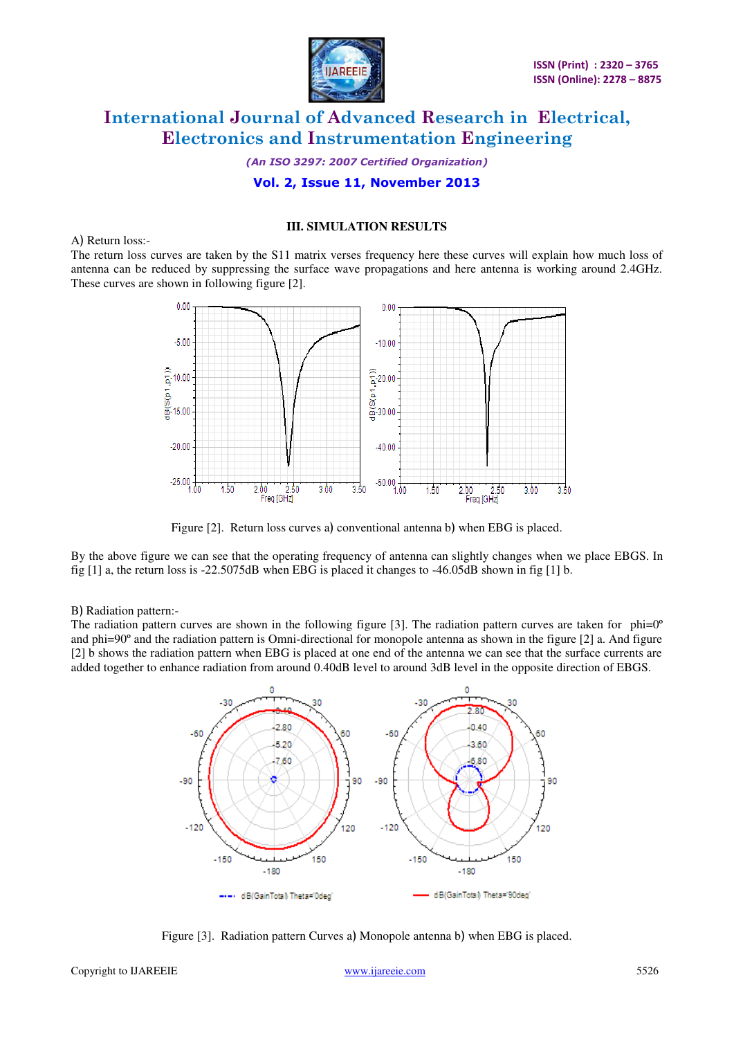

*(An ISO 3297: 2007 Certified Organization)* 

# **Vol. 2, Issue 11, November 2013**

#### **III. SIMULATION RESULTS**

#### A) Return loss:-

The return loss curves are taken by the S11 matrix verses frequency here these curves will explain how much loss of antenna can be reduced by suppressing the surface wave propagations and here antenna is working around 2.4GHz. These curves are shown in following figure [2].



Figure [2]. Return loss curves a) conventional antenna b) when EBG is placed.

By the above figure we can see that the operating frequency of antenna can slightly changes when we place EBGS. In fig  $[1]$  a, the return loss is -22.5075dB when EBG is placed it changes to -46.05dB shown in fig  $[1]$  b.

#### B) Radiation pattern:-

The radiation pattern curves are shown in the following figure [3]. The radiation pattern curves are taken for  $phi^{-0}$ and phi=90º and the radiation pattern is Omni-directional for monopole antenna as shown in the figure [2] a. And figure [2] b shows the radiation pattern when EBG is placed at one end of the antenna we can see that the surface currents are added together to enhance radiation from around 0.40dB level to around 3dB level in the opposite direction of EBGS.



Figure [3]. Radiation pattern Curves a) Monopole antenna b) when EBG is placed.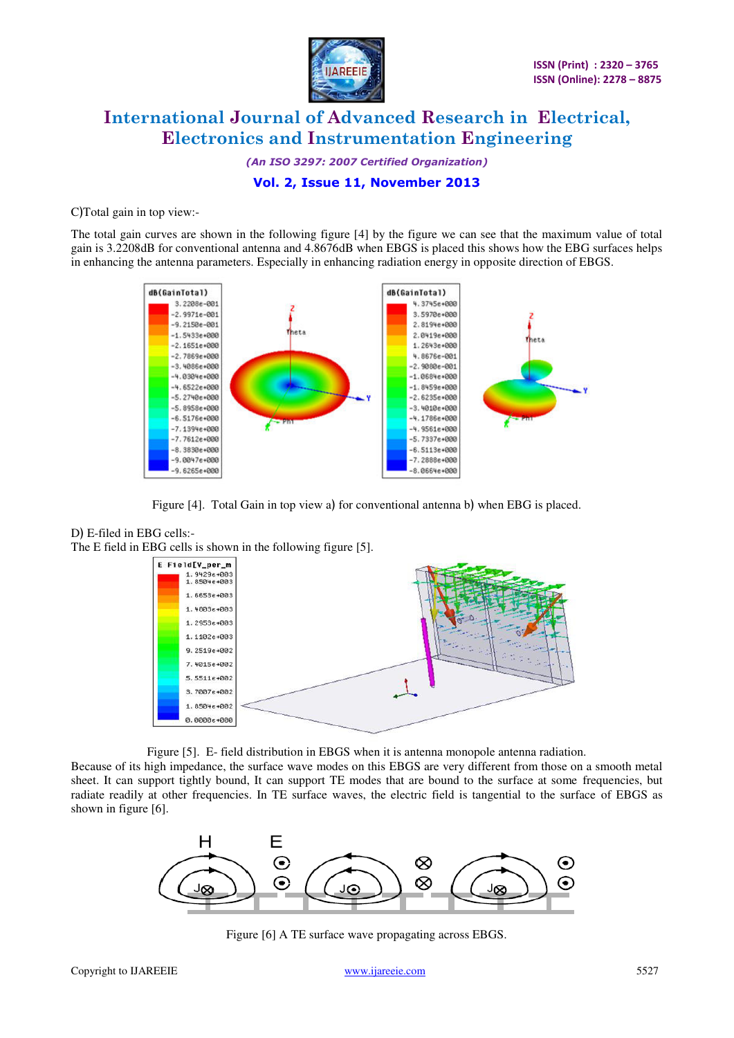

*(An ISO 3297: 2007 Certified Organization)* 

# **Vol. 2, Issue 11, November 2013**

C)Total gain in top view:-

The total gain curves are shown in the following figure [4] by the figure we can see that the maximum value of total gain is 3.2208dB for conventional antenna and 4.8676dB when EBGS is placed this shows how the EBG surfaces helps in enhancing the antenna parameters. Especially in enhancing radiation energy in opposite direction of EBGS.



Figure [4]. Total Gain in top view a) for conventional antenna b) when EBG is placed.

# D) E-filed in EBG cells:-

The E field in EBG cells is shown in the following figure [5].



Figure [5]. E- field distribution in EBGS when it is antenna monopole antenna radiation.

Because of its high impedance, the surface wave modes on this EBGS are very different from those on a smooth metal sheet. It can support tightly bound, It can support TE modes that are bound to the surface at some frequencies, but radiate readily at other frequencies. In TE surface waves, the electric field is tangential to the surface of EBGS as shown in figure [6].



Figure [6] A TE surface wave propagating across EBGS.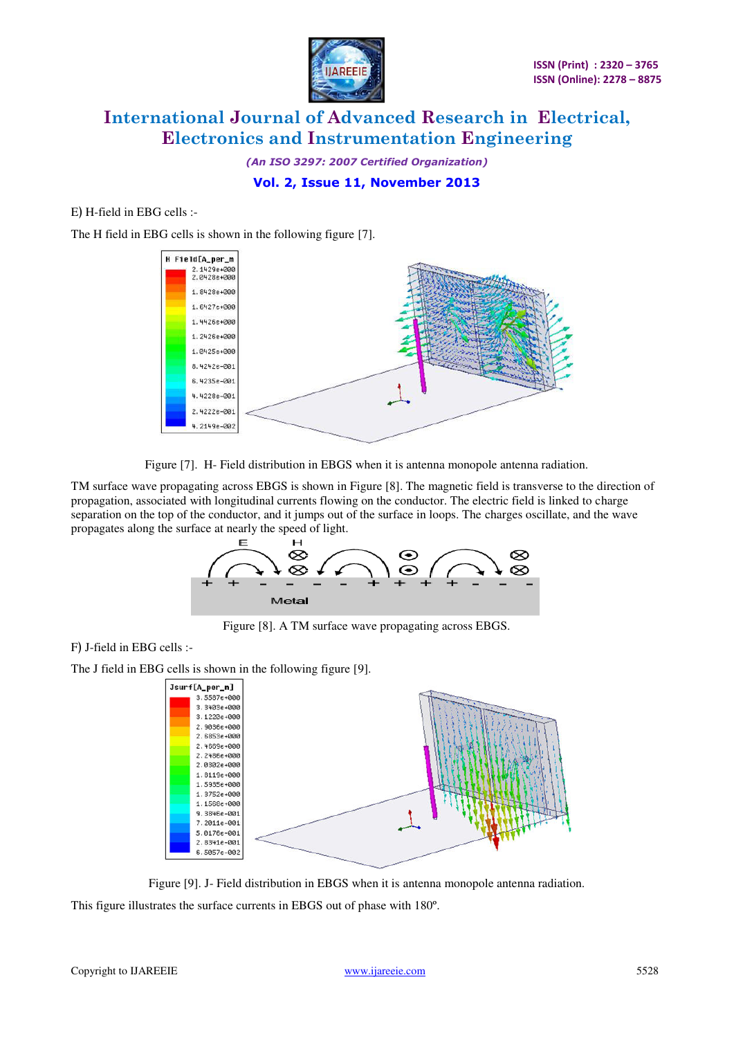

*(An ISO 3297: 2007 Certified Organization)* 

# **Vol. 2, Issue 11, November 2013**

#### $E$ ) H-field in EBG cells :-

The H field in EBG cells is shown in the following figure [7].



Figure [7]. H- Field distribution in EBGS when it is antenna monopole antenna radiation.

TM surface wave propagating across EBGS is shown in Figure [8]. The magnetic field is transverse to the direction of propagation, associated with longitudinal currents flowing on the conductor. The electric field is linked to charge separation on the top of the conductor, and it jumps out of the surface in loops. The charges oscillate, and the wave propagates along the surface at nearly the speed of light.



Figure [8]. A TM surface wave propagating across EBGS.

## F) J-field in EBG cells :-

The J field in EBG cells is shown in the following figure [9].



Figure [9]. J- Field distribution in EBGS when it is antenna monopole antenna radiation.

This figure illustrates the surface currents in EBGS out of phase with 180º.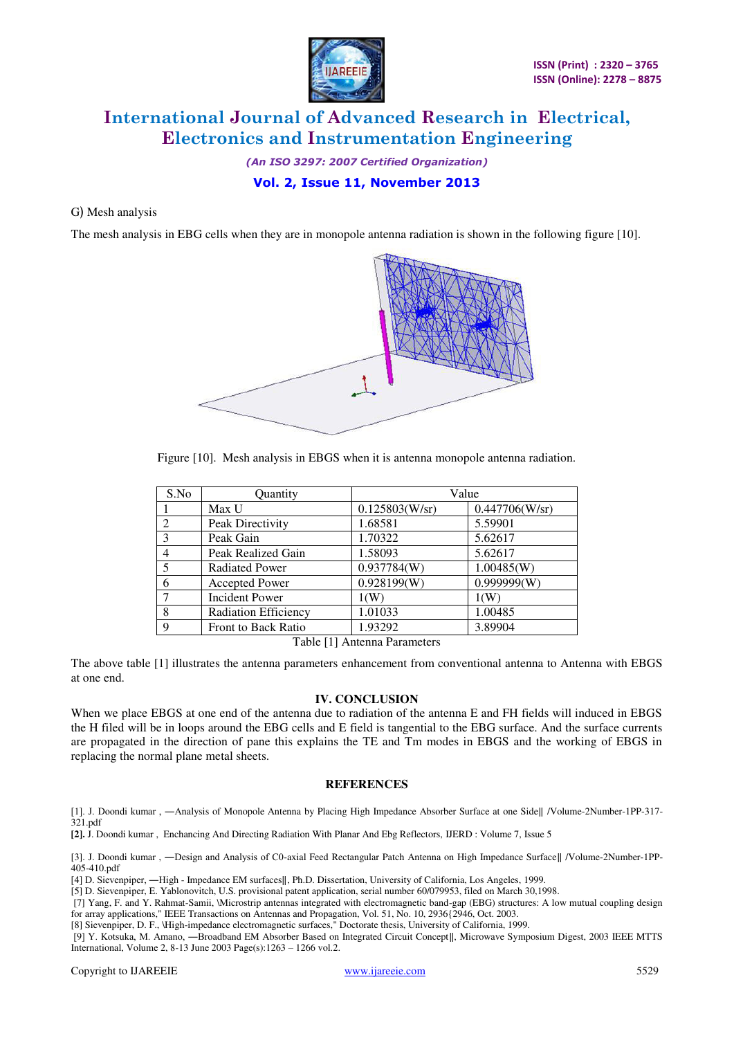

*(An ISO 3297: 2007 Certified Organization)* 

# **Vol. 2, Issue 11, November 2013**

#### G) Mesh analysis

The mesh analysis in EBG cells when they are in monopole antenna radiation is shown in the following figure [10].



Figure [10]. Mesh analysis in EBGS when it is antenna monopole antenna radiation.

| S.No          | Quantity                    | Value          |                |
|---------------|-----------------------------|----------------|----------------|
|               | Max U                       | 0.125803(W/sr) | 0.447706(W/sr) |
| $\mathcal{L}$ | Peak Directivity            | 1.68581        | 5.59901        |
| $\mathcal{R}$ | Peak Gain                   | 1.70322        | 5.62617        |
| 4             | Peak Realized Gain          | 1.58093        | 5.62617        |
| 5             | <b>Radiated Power</b>       | 0.937784(W)    | 1.00485(W)     |
| 6             | <b>Accepted Power</b>       | 0.928199(W)    | 0.999999(W)    |
| 7             | <b>Incident Power</b>       | 1(W)           | 1(W)           |
| 8             | <b>Radiation Efficiency</b> | 1.01033        | 1.00485        |
| 9             | <b>Front to Back Ratio</b>  | 1.93292        | 3.89904        |

Table [1] Antenna Parameters

The above table [1] illustrates the antenna parameters enhancement from conventional antenna to Antenna with EBGS at one end.

## **IV. CONCLUSION**

When we place EBGS at one end of the antenna due to radiation of the antenna E and FH fields will induced in EBGS the H filed will be in loops around the EBG cells and E field is tangential to the EBG surface. And the surface currents are propagated in the direction of pane this explains the TE and Tm modes in EBGS and the working of EBGS in replacing the normal plane metal sheets.

## **REFERENCES**

[1]. J. Doondi kumar , ―Analysis of Monopole Antenna by Placing High Impedance Absorber Surface at one Side‖ /Volume-2Number-1PP-317- 321.pdf

**[2].** J. Doondi kumar , Enchancing And Directing Radiation With Planar And Ebg Reflectors, IJERD : Volume 7, Issue 5

[3]. J. Doondi kumar , —Design and Analysis of C0-axial Feed Rectangular Patch Antenna on High Impedance Surface|| /Volume-2Number-1PP-405-410.pdf

[4] D. Sievenpiper, ―High - Impedance EM surfaces‖, Ph.D. Dissertation, University of California, Los Angeles, 1999.

[5] D. Sievenpiper, E. Yablonovitch, U.S. provisional patent application, serial number 60/079953, filed on March 30,1998.

 [7] Yang, F. and Y. Rahmat-Samii, \Microstrip antennas integrated with electromagnetic band-gap (EBG) structures: A low mutual coupling design for array applications," IEEE Transactions on Antennas and Propagation, Vol. 51, No. 10, 2936{2946, Oct. 2003.

[8] Sievenpiper, D. F., \High-impedance electromagnetic surfaces," Doctorate thesis, University of California, 1999.

[9] Y. Kotsuka, M. Amano, -Broadband EM Absorber Based on Integrated Circuit Concept||, Microwave Symposium Digest, 2003 IEEE MTTS International, Volume 2, 8-13 June 2003 Page(s):1263 – 1266 vol.2.